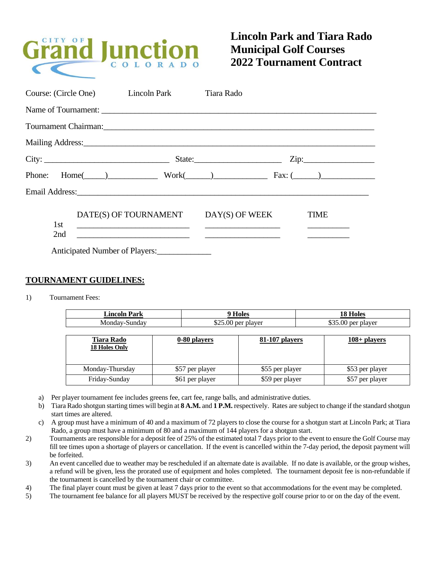

## **Lincoln Park and Tiara Rado Municipal Golf Courses 2022 Tournament Contract**

|     | Course: (Circle One) Lincoln Park                                                                                                                                                                                                                             | Tiara Rado                                                                                                                                                                                                                                             |                                                                                                                                                                                                                                                     |
|-----|---------------------------------------------------------------------------------------------------------------------------------------------------------------------------------------------------------------------------------------------------------------|--------------------------------------------------------------------------------------------------------------------------------------------------------------------------------------------------------------------------------------------------------|-----------------------------------------------------------------------------------------------------------------------------------------------------------------------------------------------------------------------------------------------------|
|     |                                                                                                                                                                                                                                                               |                                                                                                                                                                                                                                                        |                                                                                                                                                                                                                                                     |
|     |                                                                                                                                                                                                                                                               | Tournament Chairman: 1988 and 2008 and 2008 and 2008 and 2008 and 2008 and 2008 and 2008 and 2008 and 2008 and 2008 and 2008 and 2008 and 2008 and 2008 and 2008 and 2008 and 2008 and 2008 and 2008 and 2008 and 2008 and 200                         |                                                                                                                                                                                                                                                     |
|     |                                                                                                                                                                                                                                                               | Mailing Address: National Address: National Address: National Address: National Address: National Address: National Address: National Address: National Address: National Address: National Address: National Address: Nationa                         |                                                                                                                                                                                                                                                     |
|     |                                                                                                                                                                                                                                                               |                                                                                                                                                                                                                                                        |                                                                                                                                                                                                                                                     |
|     |                                                                                                                                                                                                                                                               | Phone: $Home(\_\_)$ Work $(\_\)$ Fax: $(\_\)$                                                                                                                                                                                                          |                                                                                                                                                                                                                                                     |
|     |                                                                                                                                                                                                                                                               |                                                                                                                                                                                                                                                        |                                                                                                                                                                                                                                                     |
| 1st | DATE(S) OF TOURNAMENT<br><u> 1989 - Johann Harry Harry Harry Harry Harry Harry Harry Harry Harry Harry Harry Harry Harry Harry Harry Harry Harry Harry Harry Harry Harry Harry Harry Harry Harry Harry Harry Harry Harry Harry Harry Harry Harry Harry Ha</u> | DAY(S) OF WEEK<br><u> The Communication of the Communication of the Communication of the Communication of the Communication of the Communication of the Communication of the Communication of the Communication of the Communication of the Commun</u> | <b>TIME</b><br><u>and the company of the company of the company of the company of the company of the company of the company of the company of the company of the company of the company of the company of the company of the company of the com</u> |
| 2nd |                                                                                                                                                                                                                                                               |                                                                                                                                                                                                                                                        |                                                                                                                                                                                                                                                     |
|     | Anticipated Number of Players:                                                                                                                                                                                                                                |                                                                                                                                                                                                                                                        |                                                                                                                                                                                                                                                     |

## **TOURNAMENT GUIDELINES:**

1) Tournament Fees:

| Pork<br>Linco <sup>r</sup><br>— ош.<br>1 ai N | $\sim$                                          | ∸                                                  |
|-----------------------------------------------|-------------------------------------------------|----------------------------------------------------|
| ωn<br>10.77<br>V.                             | $\triangle$<br>ΩC<br>NPT<br>n.<br>٠D.<br>◡<br>. | $\wedge$ $\sim$ $\sim$<br>$\Omega$<br>nlaver<br>nе |

| <b>Tiara Rado</b><br><b>18 Holes Only</b> | 0-80 players    | 81-107 players  | $108 +$ players |
|-------------------------------------------|-----------------|-----------------|-----------------|
| Monday-Thursday                           | \$57 per player | \$55 per player | \$53 per player |
| Friday-Sunday                             | \$61 per player | \$59 per player | \$57 per player |

- a) Per player tournament fee includes greens fee, cart fee, range balls, and administrative duties.
- b) Tiara Rado shotgun starting times will begin at **8 A.M.** and **1 P.M.** respectively. Rates are subject to change if the standard shotgun start times are altered.
- c) A group must have a minimum of 40 and a maximum of 72 players to close the course for a shotgun start at Lincoln Park; at Tiara Rado, a group must have a minimum of 80 and a maximum of 144 players for a shotgun start.
- 2) Tournaments are responsible for a deposit fee of 25% of the estimated total 7 days prior to the event to ensure the Golf Course may fill tee times upon a shortage of players or cancellation. If the event is cancelled within the 7-day period, the deposit payment will be forfeited.
- 3) An event cancelled due to weather may be rescheduled if an alternate date is available. If no date is available, or the group wishes, a refund will be given, less the prorated use of equipment and holes completed. The tournament deposit fee is non-refundable if the tournament is cancelled by the tournament chair or committee.
- 4) The final player count must be given at least 7 days prior to the event so that accommodations for the event may be completed.
- 5) The tournament fee balance for all players MUST be received by the respective golf course prior to or on the day of the event.